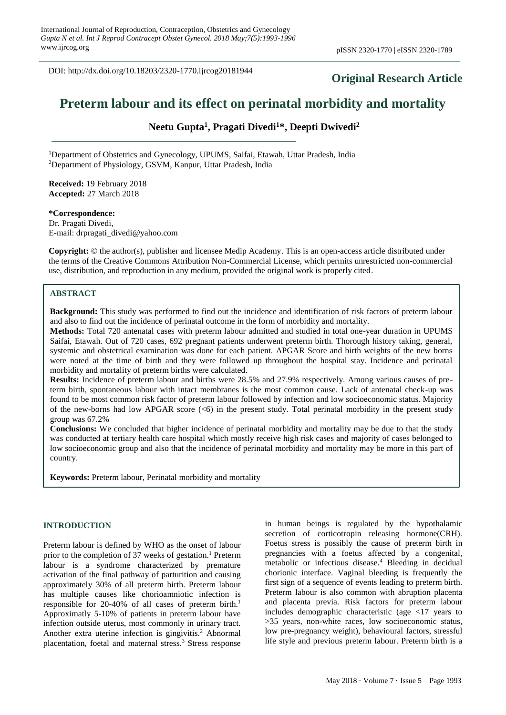DOI: http://dx.doi.org/10.18203/2320-1770.ijrcog20181944

## **Original Research Article**

# **Preterm labour and its effect on perinatal morbidity and mortality**

## **Neetu Gupta<sup>1</sup> , Pragati Divedi<sup>1</sup>\*, Deepti Dwivedi<sup>2</sup>**

<sup>1</sup>Department of Obstetrics and Gynecology, UPUMS, Saifai, Etawah, Uttar Pradesh, India <sup>2</sup>Department of Physiology, GSVM, Kanpur, Uttar Pradesh, India

**Received:** 19 February 2018 **Accepted:** 27 March 2018

**\*Correspondence:** Dr. Pragati Divedi, E-mail: drpragati\_divedi@yahoo.com

**Copyright:** © the author(s), publisher and licensee Medip Academy. This is an open-access article distributed under the terms of the Creative Commons Attribution Non-Commercial License, which permits unrestricted non-commercial use, distribution, and reproduction in any medium, provided the original work is properly cited.

## **ABSTRACT**

**Background:** This study was performed to find out the incidence and identification of risk factors of preterm labour and also to find out the incidence of perinatal outcome in the form of morbidity and mortality.

**Methods:** Total 720 antenatal cases with preterm labour admitted and studied in total one-year duration in UPUMS Saifai, Etawah. Out of 720 cases, 692 pregnant patients underwent preterm birth. Thorough history taking, general, systemic and obstetrical examination was done for each patient. APGAR Score and birth weights of the new borns were noted at the time of birth and they were followed up throughout the hospital stay. Incidence and perinatal morbidity and mortality of preterm births were calculated.

**Results:** Incidence of preterm labour and births were 28.5% and 27.9% respectively. Among various causes of preterm birth, spontaneous labour with intact membranes is the most common cause. Lack of antenatal check-up was found to be most common risk factor of preterm labour followed by infection and low socioeconomic status. Majority of the new-borns had low APGAR score  $( $6$ )$  in the present study. Total perinatal morbidity in the present study group was 67.2%

**Conclusions:** We concluded that higher incidence of perinatal morbidity and mortality may be due to that the study was conducted at tertiary health care hospital which mostly receive high risk cases and majority of cases belonged to low socioeconomic group and also that the incidence of perinatal morbidity and mortality may be more in this part of country.

**Keywords:** Preterm labour, Perinatal morbidity and mortality

## **INTRODUCTION**

Preterm labour is defined by WHO as the onset of labour prior to the completion of 37 weeks of gestation.<sup>1</sup> Preterm labour is a syndrome characterized by premature activation of the final pathway of parturition and causing approximately 30% of all preterm birth. Preterm labour has multiple causes like chorioamniotic infection is responsible for 20-40% of all cases of preterm birth.<sup>1</sup> Approximatly 5-10% of patients in preterm labour have infection outside uterus, most commonly in urinary tract. Another extra uterine infection is gingivitis.<sup>2</sup> Abnormal placentation, foetal and maternal stress.<sup>3</sup> Stress response in human beings is regulated by the hypothalamic secretion of corticotropin releasing hormone(CRH). Foetus stress is possibly the cause of preterm birth in pregnancies with a foetus affected by a congenital, metabolic or infectious disease.<sup>4</sup> Bleeding in decidual chorionic interface. Vaginal bleeding is frequently the first sign of a sequence of events leading to preterm birth. Preterm labour is also common with abruption placenta and placenta previa. Risk factors for preterm labour includes demographic characteristic (age <17 years to >35 years, non-white races, low socioeconomic status, low pre-pregnancy weight), behavioural factors, stressful life style and previous preterm labour. Preterm birth is a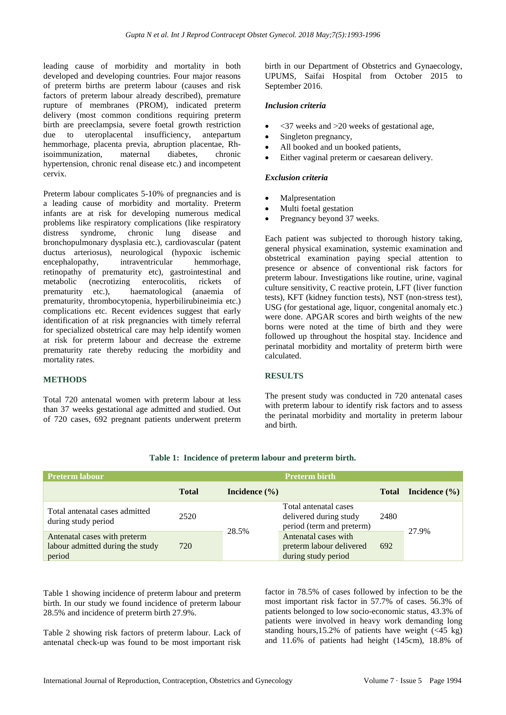leading cause of morbidity and mortality in both developed and developing countries. Four major reasons of preterm births are preterm labour (causes and risk factors of preterm labour already described), premature rupture of membranes (PROM), indicated preterm delivery (most common conditions requiring preterm birth are preeclampsia, severe foetal growth restriction due to uteroplacental insufficiency, antepartum hemmorhage, placenta previa, abruption placentae, Rhisoimmunization, maternal diabetes, chronic hypertension, chronic renal disease etc.) and incompetent cervix.

Preterm labour complicates 5-10% of pregnancies and is a leading cause of morbidity and mortality. Preterm infants are at risk for developing numerous medical problems like respiratory complications (like respiratory distress syndrome, chronic lung disease and bronchopulmonary dysplasia etc.), cardiovascular (patent ductus arteriosus), neurological (hypoxic ischemic encephalopathy, intraventricular hemmorhage, retinopathy of prematurity etc), gastrointestinal and metabolic (necrotizing enterocolitis, rickets of prematurity etc.), haematological (anaemia of prematurity, thrombocytopenia, hyperbilirubineimia etc.) complications etc. Recent evidences suggest that early identification of at risk pregnancies with timely referral for specialized obstetrical care may help identify women at risk for preterm labour and decrease the extreme prematurity rate thereby reducing the morbidity and mortality rates.

## **METHODS**

Total 720 antenatal women with preterm labour at less than 37 weeks gestational age admitted and studied. Out of 720 cases, 692 pregnant patients underwent preterm birth in our Department of Obstetrics and Gynaecology, UPUMS, Saifai Hospital from October 2015 to September 2016.

#### *Inclusion criteria*

- $\langle 37 \rangle$  weeks and  $\geq 20$  weeks of gestational age,
- Singleton pregnancy,
- All booked and un booked patients,
- Either vaginal preterm or caesarean delivery.

## *Exclusion criteria*

- **Malpresentation**
- Multi foetal gestation
- Pregnancy beyond 37 weeks.

Each patient was subjected to thorough history taking, general physical examination, systemic examination and obstetrical examination paying special attention to presence or absence of conventional risk factors for preterm labour. Investigations like routine, urine, vaginal culture sensitivity, C reactive protein, LFT (liver function tests), KFT (kidney function tests), NST (non-stress test), USG (for gestational age, liquor, congenital anomaly etc.) were done. APGAR scores and birth weights of the new borns were noted at the time of birth and they were followed up throughout the hospital stay. Incidence and perinatal morbidity and mortality of preterm birth were calculated.

## **RESULTS**

The present study was conducted in 720 antenatal cases with preterm labour to identify risk factors and to assess the perinatal morbidity and mortality in preterm labour and birth.

| <b>Preterm labour</b>                                                      |              |                   | <b>Preterm birth</b>                                                         |              |                   |
|----------------------------------------------------------------------------|--------------|-------------------|------------------------------------------------------------------------------|--------------|-------------------|
|                                                                            | <b>Total</b> | Incidence $(\% )$ |                                                                              | <b>Total</b> | Incidence $(\% )$ |
| Total antenatal cases admitted<br>during study period                      | 2520         | 28.5%             | Total antenatal cases<br>delivered during study<br>period (term and preterm) | 2480         | 27.9%             |
| Antenatal cases with preterm<br>labour admitted during the study<br>period | 720          |                   | Antenatal cases with<br>preterm labour delivered<br>during study period      | 692          |                   |

#### **Table 1: Incidence of preterm labour and preterm birth.**

Table 1 showing incidence of preterm labour and preterm birth. In our study we found incidence of preterm labour 28.5% and incidence of preterm birth 27.9%.

Table 2 showing risk factors of preterm labour. Lack of antenatal check-up was found to be most important risk factor in 78.5% of cases followed by infection to be the most important risk factor in 57.7% of cases. 56.3% of patients belonged to low socio-economic status, 43.3% of patients were involved in heavy work demanding long standing hours,15.2% of patients have weight  $(\leq 45 \text{ kg})$ and 11.6% of patients had height (145cm), 18.8% of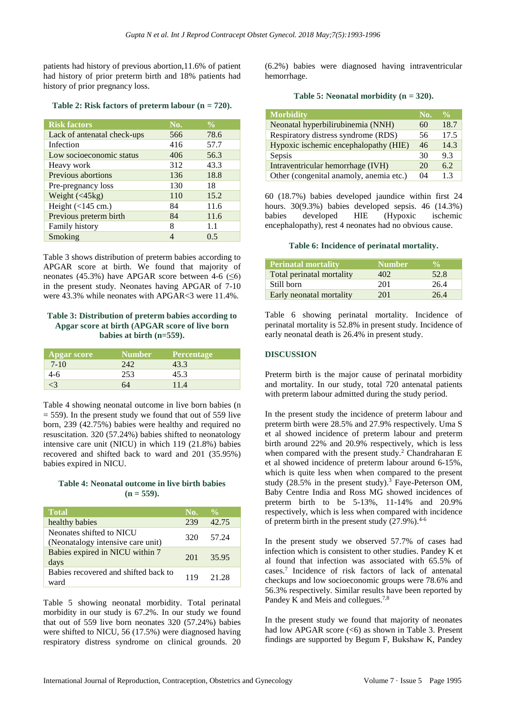patients had history of previous abortion,11.6% of patient had history of prior preterm birth and 18% patients had history of prior pregnancy loss.

**Table 2: Risk factors of preterm labour (n = 720).**

| <b>Risk factors</b>         | No. | $\frac{0}{0}$ |
|-----------------------------|-----|---------------|
| Lack of antenatal check-ups | 566 | 78.6          |
| Infection                   | 416 | 57.7          |
| Low socioeconomic status    | 406 | 56.3          |
| Heavy work                  | 312 | 43.3          |
| Previous abortions          | 136 | 18.8          |
| Pre-pregnancy loss          | 130 | 18            |
| Weight $(45kg)$             | 110 | 15.2          |
| Height $(<145$ cm.)         | 84  | 11.6          |
| Previous preterm birth      | 84  | 11.6          |
| <b>Family history</b>       | 8   | 1.1           |
| Smoking                     | 4   | 0.5           |

Table 3 shows distribution of preterm babies according to APGAR score at birth. We found that majority of neonates (45.3%) have APGAR score between 4-6 ( $\leq 6$ ) in the present study. Neonates having APGAR of 7-10 were 43.3% while neonates with APGAR<3 were 11.4%.

## **Table 3: Distribution of preterm babies according to Apgar score at birth (APGAR score of live born babies at birth (n=559).**

| <b>Apgar score</b> | <b>Number</b> | <b>Percentage</b> |
|--------------------|---------------|-------------------|
| $7 - 10$           | 242           | 43.3              |
| 4-6                | 253           | 45.3              |
|                    | 64            | 11.4              |

Table 4 showing neonatal outcome in live born babies (n  $= 559$ ). In the present study we found that out of 559 live born, 239 (42.75%) babies were healthy and required no resuscitation. 320 (57.24%) babies shifted to neonatology intensive care unit (NICU) in which 119 (21.8%) babies recovered and shifted back to ward and 201 (35.95%) babies expired in NICU.

#### **Table 4: Neonatal outcome in live birth babies**   $(n = 559)$ .

| <b>Total</b>                                                  | No. | $\frac{0}{\alpha}$ |
|---------------------------------------------------------------|-----|--------------------|
| healthy babies                                                | 239 | 42.75              |
| Neonates shifted to NICU<br>(Neonatalogy intensive care unit) | 32O | 57.24              |
| Babies expired in NICU within 7<br>days                       | 201 | 35.95              |
| Babies recovered and shifted back to<br>ward                  | 119 | 21.28              |

Table 5 showing neonatal morbidity. Total perinatal morbidity in our study is 67.2%. In our study we found that out of 559 live born neonates 320 (57.24%) babies were shifted to NICU, 56 (17.5%) were diagnosed having respiratory distress syndrome on clinical grounds. 20 (6.2%) babies were diagnosed having intraventricular hemorrhage.

**Table 5: Neonatal morbidity (n = 320).**

| <b>Morbidity</b>                        | No. | $\frac{0}{0}$ |
|-----------------------------------------|-----|---------------|
| Neonatal hyperbilirubinemia (NNH)       | 60  | 18.7          |
| Respiratory distress syndrome (RDS)     | 56  | 17.5          |
| Hypoxic ischemic encephalopathy (HIE)   | 46  | 14.3          |
| Sepsis                                  | 30  | 9.3           |
| Intraventricular hemorrhage (IVH)       | 20  | 6.2           |
| Other (congenital anamoly, anemia etc.) | 04  | 13            |

60 (18.7%) babies developed jaundice within first 24 hours. 30(9.3%) babies developed sepsis. 46 (14.3%) babies developed HIE (Hypoxic ischemic encephalopathy), rest 4 neonates had no obvious cause.

## **Table 6: Incidence of perinatal mortality.**

| <b>Perinatal mortality</b> | <b>Number</b> | $\mathbf{0}_{\mathbf{A}}$ |
|----------------------------|---------------|---------------------------|
| Total perinatal mortality  | 402.          | 52.8                      |
| Still born                 | 201           | 26.4                      |
| Early neonatal mortality   | 201           | 26.4                      |

Table 6 showing perinatal mortality. Incidence of perinatal mortality is 52.8% in present study. Incidence of early neonatal death is 26.4% in present study.

## **DISCUSSION**

Preterm birth is the major cause of perinatal morbidity and mortality. In our study, total 720 antenatal patients with preterm labour admitted during the study period.

In the present study the incidence of preterm labour and preterm birth were 28.5% and 27.9% respectively. Uma S et al showed incidence of preterm labour and preterm birth around 22% and 20.9% respectively, which is less when compared with the present study.<sup>2</sup> Chandraharan E et al showed incidence of preterm labour around 6-15%, which is quite less when when compared to the present study  $(28.5\%$  in the present study).<sup>3</sup> Faye-Peterson OM, Baby Centre India and Ross MG showed incidences of preterm birth to be 5-13%, 11-14% and 20.9% respectively, which is less when compared with incidence of preterm birth in the present study  $(27.9\%)$ .<sup>4-6</sup>

In the present study we observed 57.7% of cases had infection which is consistent to other studies. Pandey K et al found that infection was associated with 65.5% of cases.<sup>7</sup> Incidence of risk factors of lack of antenatal checkups and low socioeconomic groups were 78.6% and 56.3% respectively. Similar results have been reported by Pandey K and Meis and collegues.<sup>7,8</sup>

In the present study we found that majority of neonates had low APGAR score  $( $6$ )$  as shown in Table 3. Present findings are supported by Begum F, Bukshaw K, Pandey